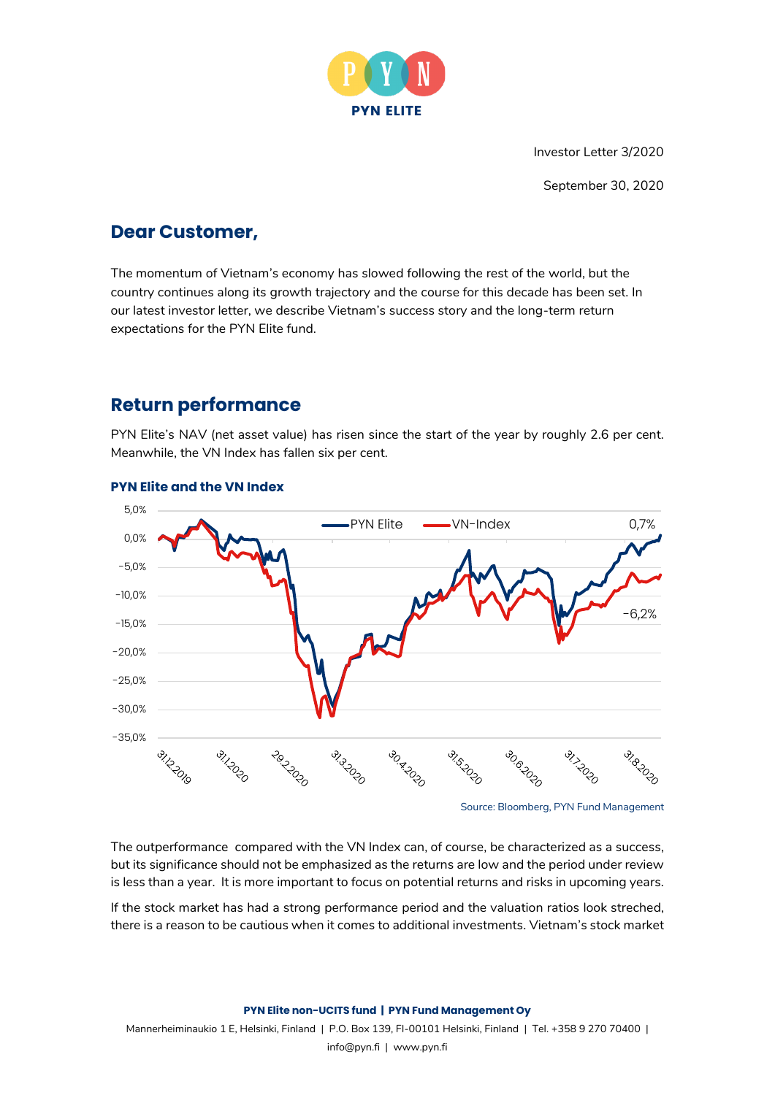

Investor Letter 3/2020

September 30, 2020

### **Dear Customer,**

The momentum of Vietnam's economy has slowed following the rest of the world, but the country continues along its growth trajectory and the course for this decade has been set. In our latest investor letter, we describe Vietnam's success story and the long-term return expectations for the PYN Elite fund.

# **Return performance**

PYN Elite's NAV (net asset value) has risen since the start of the year by roughly 2.6 per cent. Meanwhile, the VN Index has fallen six per cent.



### **PYN Elite and the VN Index**

Source: Bloomberg, PYN Fund Management

The outperformance compared with the VN Index can, of course, be characterized as a success, but its significance should not be emphasized as the returns are low and the period under review is less than a year. It is more important to focus on potential returns and risks in upcoming years.

If the stock market has had a strong performance period and the valuation ratios look streched, there is a reason to be cautious when it comes to additional investments. Vietnam's stock market

### **PYN Elite non-UCITS fund | PYN Fund Management Oy**

Mannerheiminaukio 1 E, Helsinki, Finland | P.O. Box 139, FI-00101 Helsinki, Finland | Tel. +358 9 270 70400 | info@pyn.fi | www.pyn.fi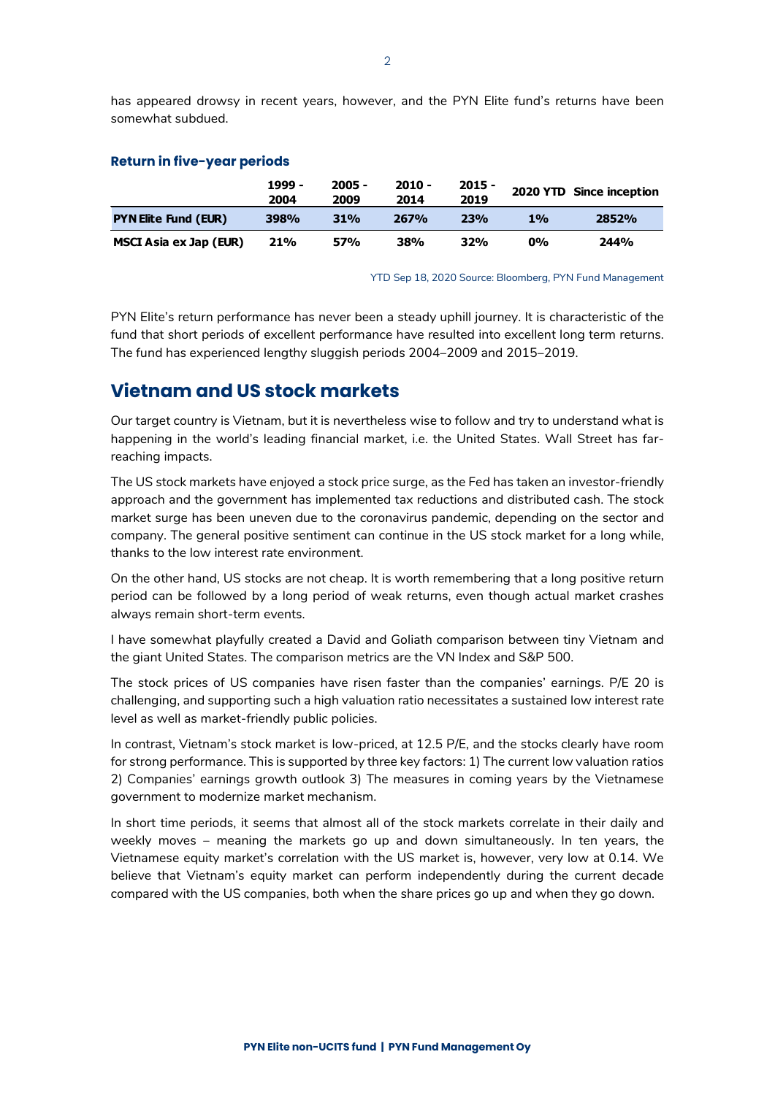has appeared drowsy in recent years, however, and the PYN Elite fund's returns have been somewhat subdued.

### **Return in five-year periods**

|                             | 1999 -<br>2004 | $2005 -$<br>2009 | 2010 -<br>2014 | $2015 -$<br>2019 |       | 2020 YTD Since inception |
|-----------------------------|----------------|------------------|----------------|------------------|-------|--------------------------|
| <b>PYN Elite Fund (EUR)</b> | 398%           | <b>31%</b>       | 267%           | 23%              | 1%    | 2852%                    |
| MSCI Asia ex Jap (EUR)      | 21%            | 57%              | 38%            | 32%              | $0\%$ | 244%                     |

YTD Sep 18, 2020 Source: Bloomberg, PYN Fund Management

PYN Elite's return performance has never been a steady uphill journey. It is characteristic of the fund that short periods of excellent performance have resulted into excellent long term returns. The fund has experienced lengthy sluggish periods 2004–2009 and 2015–2019.

### **Vietnam and US stock markets**

Our target country is Vietnam, but it is nevertheless wise to follow and try to understand what is happening in the world's leading financial market, i.e. the United States. Wall Street has farreaching impacts.

The US stock markets have enjoyed a stock price surge, as the Fed has taken an investor-friendly approach and the government has implemented tax reductions and distributed cash. The stock market surge has been uneven due to the coronavirus pandemic, depending on the sector and company. The general positive sentiment can continue in the US stock market for a long while, thanks to the low interest rate environment.

On the other hand, US stocks are not cheap. It is worth remembering that a long positive return period can be followed by a long period of weak returns, even though actual market crashes always remain short-term events.

I have somewhat playfully created a David and Goliath comparison between tiny Vietnam and the giant United States. The comparison metrics are the VN Index and S&P 500.

The stock prices of US companies have risen faster than the companies' earnings. P/E 20 is challenging, and supporting such a high valuation ratio necessitates a sustained low interest rate level as well as market-friendly public policies.

In contrast, Vietnam's stock market is low-priced, at 12.5 P/E, and the stocks clearly have room for strong performance. This is supported by three key factors: 1) The current low valuation ratios 2) Companies' earnings growth outlook 3) The measures in coming years by the Vietnamese government to modernize market mechanism.

In short time periods, it seems that almost all of the stock markets correlate in their daily and weekly moves – meaning the markets go up and down simultaneously. In ten years, the Vietnamese equity market's correlation with the US market is, however, very low at 0.14. We believe that Vietnam's equity market can perform independently during the current decade compared with the US companies, both when the share prices go up and when they go down.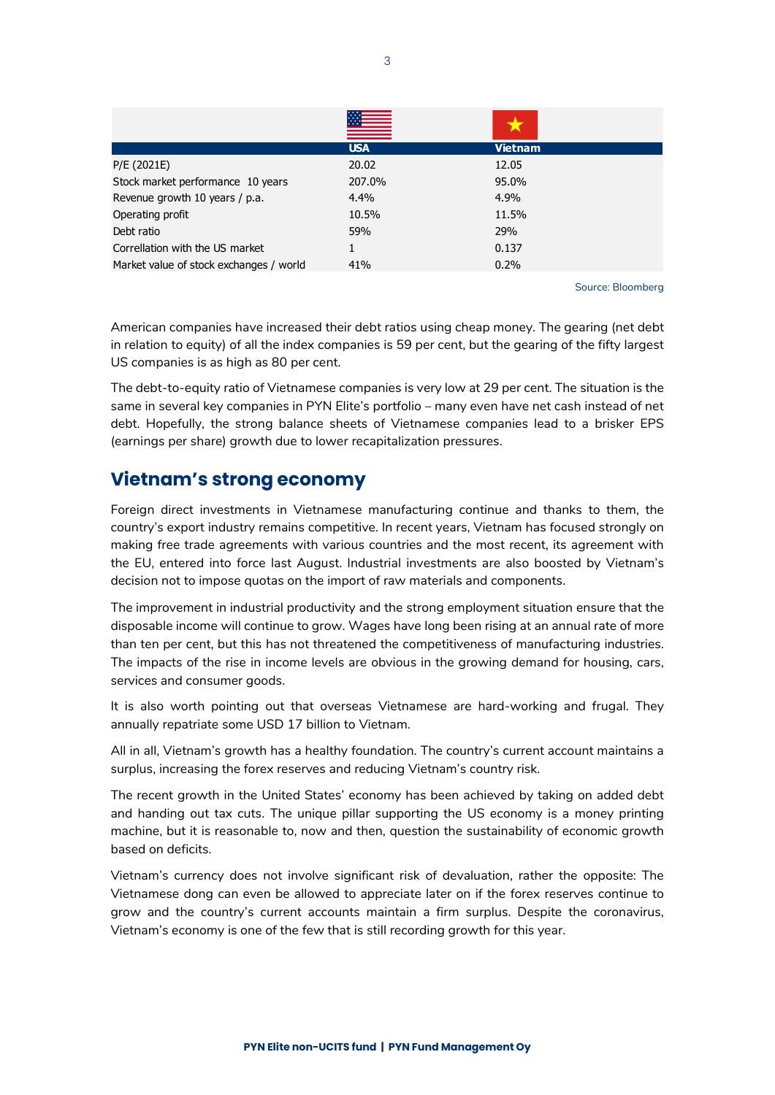|                                         | <b>USA</b> | <b>Vietnam</b> |
|-----------------------------------------|------------|----------------|
| P/E (2021E)                             | 20.02      | 12.05          |
| Stock market performance 10 years       | 207.0%     | 95.0%          |
| Revenue growth 10 years / p.a.          | 4.4%       | 4.9%           |
| Operating profit                        | 10.5%      | 11.5%          |
| Debt ratio                              | 59%        | 29%            |
| Correllation with the US market         | 1          | 0.137          |
| Market value of stock exchanges / world | 41%        | 0.2%           |

Source: Bloomberg

American companies have increased their debt ratios using cheap money. The gearing (net debt in relation to equity) of all the index companies is 59 per cent, but the gearing of the fifty largest US companies is as high as 80 per cent.

The debt-to-equity ratio of Vietnamese companies is very low at 29 per cent. The situation is the same in several key companies in PYN Elite's portfolio – many even have net cash instead of net debt. Hopefully, the strong balance sheets of Vietnamese companies lead to a brisker EPS (earnings per share) growth due to lower recapitalization pressures.

## **Vietnam's strong economy**

Foreign direct investments in Vietnamese manufacturing continue and thanks to them, the country's export industry remains competitive. In recent years, Vietnam has focused strongly on making free trade agreements with various countries and the most recent, its agreement with the EU, entered into force last August. Industrial investments are also boosted by Vietnam's decision not to impose quotas on the import of raw materials and components.

The improvement in industrial productivity and the strong employment situation ensure that the disposable income will continue to grow. Wages have long been rising at an annual rate of more than ten per cent, but this has not threatened the competitiveness of manufacturing industries. The impacts of the rise in income levels are obvious in the growing demand for housing, cars, services and consumer goods.

It is also worth pointing out that overseas Vietnamese are hard-working and frugal. They annually repatriate some USD 17 billion to Vietnam.

All in all, Vietnam's growth has a healthy foundation. The country's current account maintains a surplus, increasing the forex reserves and reducing Vietnam's country risk.

The recent growth in the United States' economy has been achieved by taking on added debt and handing out tax cuts. The unique pillar supporting the US economy is a money printing machine, but it is reasonable to, now and then, question the sustainability of economic growth based on deficits.

Vietnam's currency does not involve significant risk of devaluation, rather the opposite: The Vietnamese dong can even be allowed to appreciate later on if the forex reserves continue to grow and the country's current accounts maintain a firm surplus. Despite the coronavirus, Vietnam's economy is one of the few that is still recording growth for this year.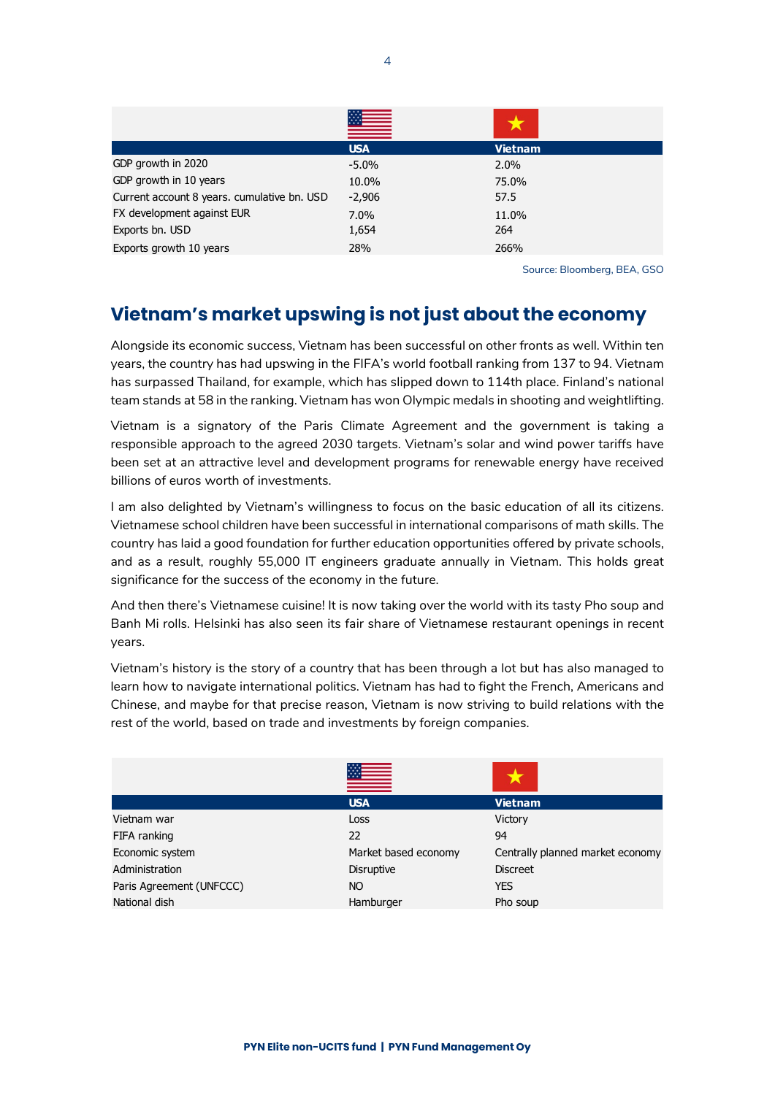|                                             | <b>USA</b> | <b>Vietnam</b> |
|---------------------------------------------|------------|----------------|
| GDP growth in 2020                          | $-5.0\%$   | 2.0%           |
| GDP growth in 10 years                      | 10.0%      | 75.0%          |
| Current account 8 years. cumulative bn. USD | $-2,906$   | 57.5           |
| FX development against EUR                  | 7.0%       | 11.0%          |
| Exports bn. USD                             | 1,654      | 264            |
| Exports growth 10 years                     | 28%        | 266%           |

Source: Bloomberg, BEA, GSO

# **Vietnam's market upswing is not just about the economy**

Alongside its economic success, Vietnam has been successful on other fronts as well. Within ten years, the country has had upswing in the FIFA's world football ranking from 137 to 94. Vietnam has surpassed Thailand, for example, which has slipped down to 114th place. Finland's national team stands at 58 in the ranking. Vietnam has won Olympic medals in shooting and weightlifting.

Vietnam is a signatory of the Paris Climate Agreement and the government is taking a responsible approach to the agreed 2030 targets. Vietnam's solar and wind power tariffs have been set at an attractive level and development programs for renewable energy have received billions of euros worth of investments.

I am also delighted by Vietnam's willingness to focus on the basic education of all its citizens. Vietnamese school children have been successful in international comparisons of math skills. The country has laid a good foundation for further education opportunities offered by private schools, and as a result, roughly 55,000 IT engineers graduate annually in Vietnam. This holds great significance for the success of the economy in the future.

And then there's Vietnamese cuisine! It is now taking over the world with its tasty Pho soup and Banh Mi rolls. Helsinki has also seen its fair share of Vietnamese restaurant openings in recent years.

Vietnam's history is the story of a country that has been through a lot but has also managed to learn how to navigate international politics. Vietnam has had to fight the French, Americans and Chinese, and maybe for that precise reason, Vietnam is now striving to build relations with the rest of the world, based on trade and investments by foreign companies.

|                          | <b>USA</b>           | <b>Vietnam</b>                   |
|--------------------------|----------------------|----------------------------------|
| Vietnam war              | Loss                 | Victory                          |
| FIFA ranking             | 22                   | 94                               |
| Economic system          | Market based economy | Centrally planned market economy |
| Administration           | Disruptive           | <b>Discreet</b>                  |
| Paris Agreement (UNFCCC) | NO.                  | <b>YES</b>                       |
| National dish            | Hamburger            | Pho soup                         |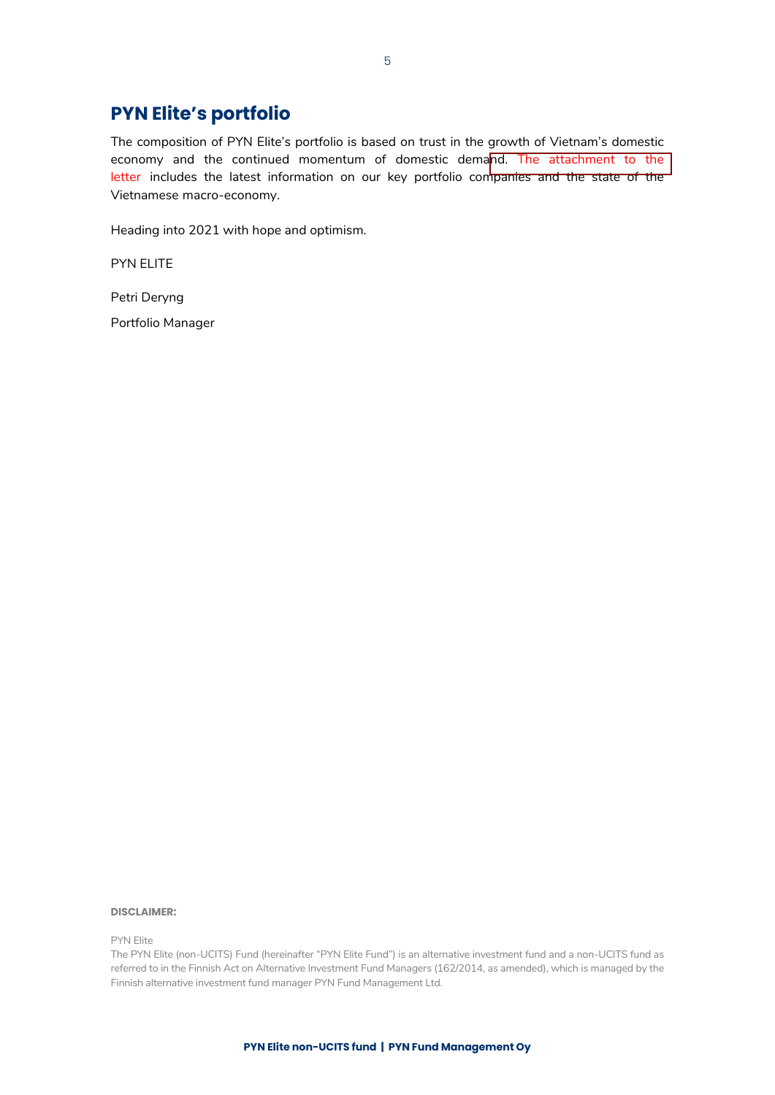# **PYN Elite's portfolio**

The composition of PYN Elite's portfolio is based on trust in the growth of Vietnam's domestic economy and the continued momentum of domestic demand. The attachment to the letter includes the latest information on our key portfolio companies and the state of the Vietnamese macro-economy.

Heading into 2021 with hope and optimism.

PYN ELITE

Petri Deryng

Portfolio Manager

### **DISCLAIMER:**

PYN Elite

The PYN Elite (non-UCITS) Fund (hereinafter "PYN Elite Fund") is an alternative investment fund and a non-UCITS fund as referred to in the Finnish Act on Alternative Investment Fund Managers (162/2014, as amended), which is managed by the Finnish alternative investment fund manager PYN Fund Management Ltd.